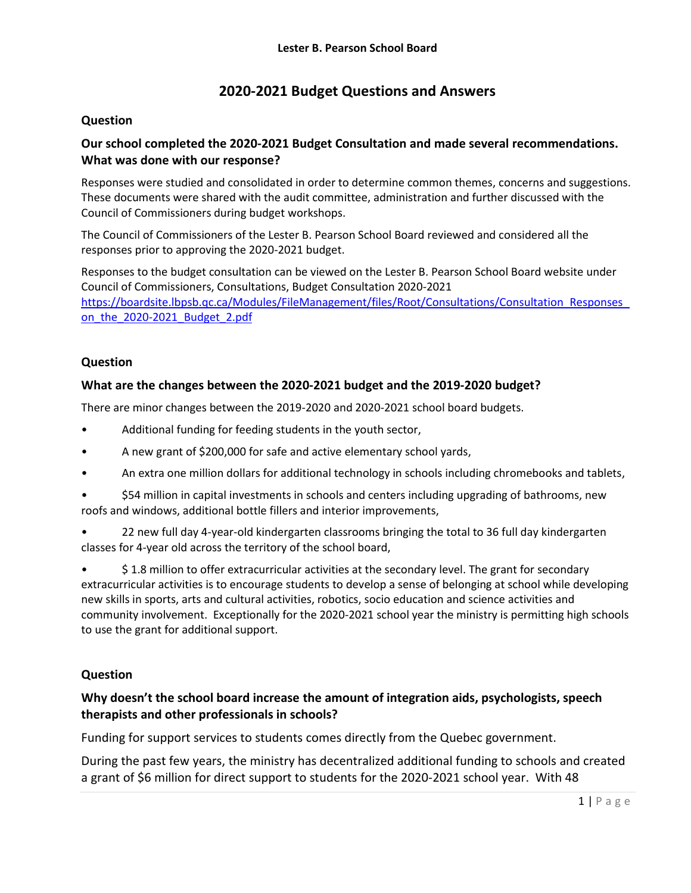# **2020-2021 Budget Questions and Answers**

## **Question**

## **Our school completed the 2020-2021 Budget Consultation and made several recommendations. What was done with our response?**

Responses were studied and consolidated in order to determine common themes, concerns and suggestions. These documents were shared with the audit committee, administration and further discussed with the Council of Commissioners during budget workshops.

The Council of Commissioners of the Lester B. Pearson School Board reviewed and considered all the responses prior to approving the 2020-2021 budget.

Responses to the budget consultation can be viewed on the Lester B. Pearson School Board website under Council of Commissioners, Consultations, Budget Consultation 2020-2021 [https://boardsite.lbpsb.qc.ca/Modules/FileManagement/files/Root/Consultations/Consultation\\_Responses\\_](https://boardsite.lbpsb.qc.ca/Modules/FileManagement/files/Root/Consultations/Consultation_Responses_on_the_2020-2021_Budget_2.pdf) on the 2020-2021 Budget 2.pdf

## **Question**

#### **What are the changes between the 2020-2021 budget and the 2019-2020 budget?**

There are minor changes between the 2019-2020 and 2020-2021 school board budgets.

- Additional funding for feeding students in the youth sector,
- A new grant of \$200,000 for safe and active elementary school yards,
- An extra one million dollars for additional technology in schools including chromebooks and tablets,
- \$54 million in capital investments in schools and centers including upgrading of bathrooms, new roofs and windows, additional bottle fillers and interior improvements,
- 22 new full day 4-year-old kindergarten classrooms bringing the total to 36 full day kindergarten classes for 4-year old across the territory of the school board,

• \$ 1.8 million to offer extracurricular activities at the secondary level. The grant for secondary extracurricular activities is to encourage students to develop a sense of belonging at school while developing new skills in sports, arts and cultural activities, robotics, socio education and science activities and community involvement. Exceptionally for the 2020-2021 school year the ministry is permitting high schools to use the grant for additional support.

## **Question**

## **Why doesn't the school board increase the amount of integration aids, psychologists, speech therapists and other professionals in schools?**

Funding for support services to students comes directly from the Quebec government.

During the past few years, the ministry has decentralized additional funding to schools and created a grant of \$6 million for direct support to students for the 2020-2021 school year. With 48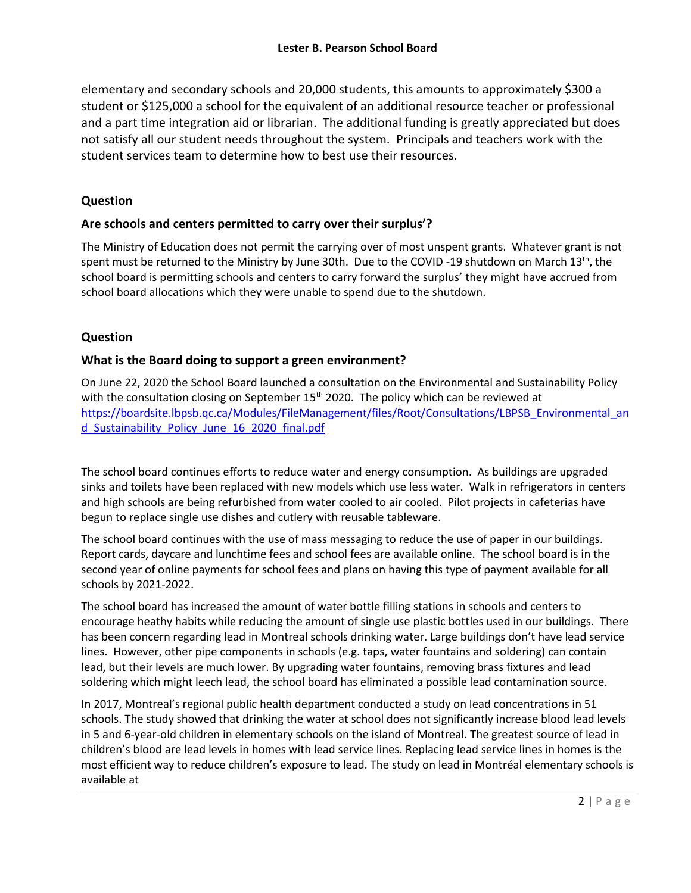elementary and secondary schools and 20,000 students, this amounts to approximately \$300 a student or \$125,000 a school for the equivalent of an additional resource teacher or professional and a part time integration aid or librarian. The additional funding is greatly appreciated but does not satisfy all our student needs throughout the system. Principals and teachers work with the student services team to determine how to best use their resources.

#### **Question**

#### **Are schools and centers permitted to carry over their surplus'?**

The Ministry of Education does not permit the carrying over of most unspent grants. Whatever grant is not spent must be returned to the Ministry by June 30th. Due to the COVID -19 shutdown on March 13<sup>th</sup>, the school board is permitting schools and centers to carry forward the surplus' they might have accrued from school board allocations which they were unable to spend due to the shutdown.

#### **Question**

#### **What is the Board doing to support a green environment?**

On June 22, 2020 the School Board launched a consultation on the Environmental and Sustainability Policy with the consultation closing on September  $15<sup>th</sup>$  2020. The policy which can be reviewed at [https://boardsite.lbpsb.qc.ca/Modules/FileManagement/files/Root/Consultations/LBPSB\\_Environmental\\_an](https://boardsite.lbpsb.qc.ca/Modules/FileManagement/files/Root/Consultations/LBPSB_Environmental_and_Sustainability_Policy_June_16_2020_final.pdf) d Sustainability Policy June 16 2020 final.pdf

The school board continues efforts to reduce water and energy consumption. As buildings are upgraded sinks and toilets have been replaced with new models which use less water. Walk in refrigerators in centers and high schools are being refurbished from water cooled to air cooled. Pilot projects in cafeterias have begun to replace single use dishes and cutlery with reusable tableware.

The school board continues with the use of mass messaging to reduce the use of paper in our buildings. Report cards, daycare and lunchtime fees and school fees are available online. The school board is in the second year of online payments for school fees and plans on having this type of payment available for all schools by 2021-2022.

The school board has increased the amount of water bottle filling stations in schools and centers to encourage heathy habits while reducing the amount of single use plastic bottles used in our buildings. There has been concern regarding lead in Montreal schools drinking water. Large buildings don't have lead service lines. However, other pipe components in schools (e.g. taps, water fountains and soldering) can contain lead, but their levels are much lower. By upgrading water fountains, removing brass fixtures and lead soldering which might leech lead, the school board has eliminated a possible lead contamination source.

In 2017, Montreal's regional public health department conducted a study on lead concentrations in 51 schools. The study showed that drinking the water at school does not significantly increase blood lead levels in 5 and 6-year-old children in elementary schools on the island of Montreal. The greatest source of lead in children's blood are lead levels in homes with lead service lines. Replacing lead service lines in homes is the most efficient way to reduce children's exposure to lead. The study on lead in Montréal elementary schools is available at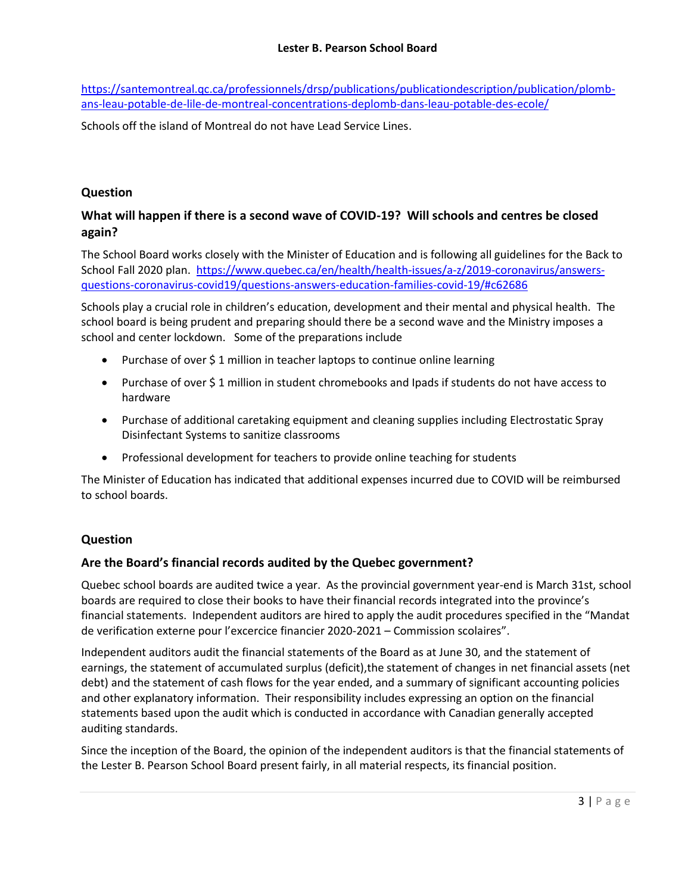[https://santemontreal.qc.ca/professionnels/drsp/publications/publicationdescription/publication/plomb](https://santemontreal.qc.ca/professionnels/drsp/publications/publicationdescription/publication/plomb-ans-leau-potable-de-lile-de-montreal-concentrations-deplomb-dans-leau-potable-des-ecole/)[ans-leau-potable-de-lile-de-montreal-concentrations-deplomb-dans-leau-potable-des-ecole/](https://santemontreal.qc.ca/professionnels/drsp/publications/publicationdescription/publication/plomb-ans-leau-potable-de-lile-de-montreal-concentrations-deplomb-dans-leau-potable-des-ecole/)

Schools off the island of Montreal do not have Lead Service Lines.

## **Question**

# **What will happen if there is a second wave of COVID-19? Will schools and centres be closed again?**

The School Board works closely with the Minister of Education and is following all guidelines for the Back to School Fall 2020 plan. [https://www.quebec.ca/en/health/health-issues/a-z/2019-coronavirus/answers](https://www.quebec.ca/en/health/health-issues/a-z/2019-coronavirus/answers-questions-coronavirus-covid19/questions-answers-education-families-covid-19/#c62686)[questions-coronavirus-covid19/questions-answers-education-families-covid-19/#c62686](https://www.quebec.ca/en/health/health-issues/a-z/2019-coronavirus/answers-questions-coronavirus-covid19/questions-answers-education-families-covid-19/#c62686)

Schools play a crucial role in children's education, development and their mental and physical health. The school board is being prudent and preparing should there be a second wave and the Ministry imposes a school and center lockdown. Some of the preparations include

- Purchase of over \$1 million in teacher laptops to continue online learning
- Purchase of over \$ 1 million in student chromebooks and Ipads if students do not have access to hardware
- Purchase of additional caretaking equipment and cleaning supplies including Electrostatic Spray Disinfectant Systems to sanitize classrooms
- Professional development for teachers to provide online teaching for students

The Minister of Education has indicated that additional expenses incurred due to COVID will be reimbursed to school boards.

## **Question**

## **Are the Board's financial records audited by the Quebec government?**

Quebec school boards are audited twice a year. As the provincial government year-end is March 31st, school boards are required to close their books to have their financial records integrated into the province's financial statements. Independent auditors are hired to apply the audit procedures specified in the "Mandat de verification externe pour l'excercice financier 2020-2021 – Commission scolaires".

Independent auditors audit the financial statements of the Board as at June 30, and the statement of earnings, the statement of accumulated surplus (deficit),the statement of changes in net financial assets (net debt) and the statement of cash flows for the year ended, and a summary of significant accounting policies and other explanatory information. Their responsibility includes expressing an option on the financial statements based upon the audit which is conducted in accordance with Canadian generally accepted auditing standards.

Since the inception of the Board, the opinion of the independent auditors is that the financial statements of the Lester B. Pearson School Board present fairly, in all material respects, its financial position.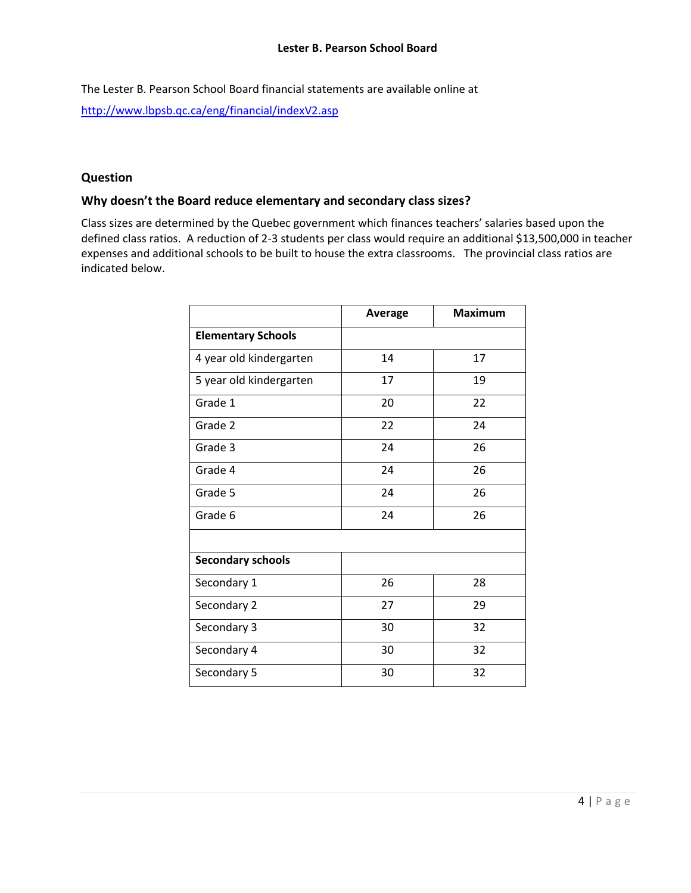The Lester B. Pearson School Board financial statements are available online at <http://www.lbpsb.qc.ca/eng/financial/indexV2.asp>

#### **Question**

# **Why doesn't the Board reduce elementary and secondary class sizes?**

Class sizes are determined by the Quebec government which finances teachers' salaries based upon the defined class ratios. A reduction of 2-3 students per class would require an additional \$13,500,000 in teacher expenses and additional schools to be built to house the extra classrooms. The provincial class ratios are indicated below.

|                           | <b>Average</b> | <b>Maximum</b> |  |
|---------------------------|----------------|----------------|--|
| <b>Elementary Schools</b> |                |                |  |
| 4 year old kindergarten   | 14             | 17             |  |
| 5 year old kindergarten   | 17             | 19             |  |
| Grade 1                   | 20             | 22             |  |
| Grade 2                   | 22             | 24             |  |
| Grade 3                   | 24             | 26             |  |
| Grade 4                   | 24             | 26             |  |
| Grade 5                   | 24             | 26             |  |
| Grade 6                   | 24             | 26             |  |
|                           |                |                |  |
| <b>Secondary schools</b>  |                |                |  |
| Secondary 1               | 26             | 28             |  |
| Secondary 2               | 27             | 29             |  |
| Secondary 3               | 30             | 32             |  |
| Secondary 4               | 30             | 32             |  |
| Secondary 5               | 30             | 32             |  |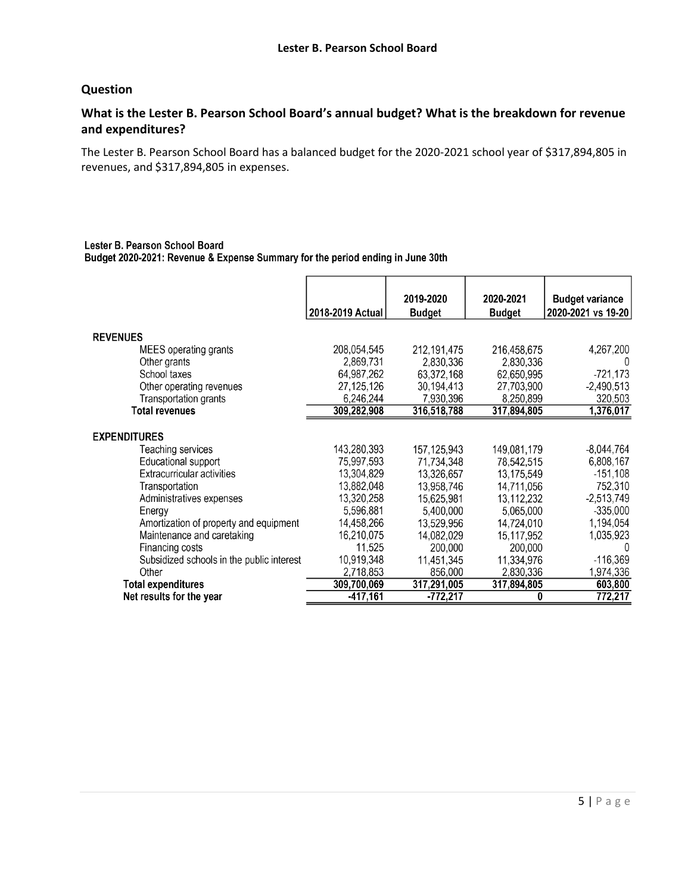#### **Question**

## **What is the Lester B. Pearson School Board's annual budget? What is the breakdown for revenue and expenditures?**

The Lester B. Pearson School Board has a balanced budget for the 2020-2021 school year of \$317,894,805 in revenues, and \$317,894,805 in expenses.

#### Lester B. Pearson School Board Budget 2020-2021: Revenue & Expense Summary for the period ending in June 30th

|                                           |                  | 2019-2020     | 2020-2021     | <b>Budget variance</b> |
|-------------------------------------------|------------------|---------------|---------------|------------------------|
|                                           | 2018-2019 Actual | <b>Budget</b> | <b>Budget</b> | 2020-2021 vs 19-20     |
|                                           |                  |               |               |                        |
| <b>REVENUES</b>                           |                  |               |               |                        |
| MEES operating grants                     | 208,054,545      | 212,191,475   | 216,458,675   | 4,267,200              |
| Other grants                              | 2,869,731        | 2,830,336     | 2,830,336     | 0                      |
| School taxes                              | 64,987,262       | 63,372,168    | 62,650,995    | $-721,173$             |
| Other operating revenues                  | 27,125,126       | 30,194,413    | 27,703,900    | $-2,490,513$           |
| Transportation grants                     | 6,246,244        | 7,930,396     | 8,250,899     | 320,503                |
| Total revenues                            | 309,282,908      | 316,518,788   | 317,894,805   | 1,376,017              |
|                                           |                  |               |               |                        |
| EXPENDITURES                              |                  |               |               |                        |
| Teaching services                         | 143,280,393      | 157, 125, 943 | 149,081,179   | $-8,044,764$           |
| Educational support                       | 75,997,593       | 71,734,348    | 78,542,515    | 6,808,167              |
| Extracurricular activities                | 13,304,829       | 13,326,657    | 13,175,549    | $-151,108$             |
| Transportation                            | 13,882,048       | 13,958,746    | 14,711,056    | 752,310                |
| Administratives expenses                  | 13,320,258       | 15,625,981    | 13,112,232    | $-2,513,749$           |
| Energy                                    | 5,596,881        | 5,400,000     | 5,065,000     | $-335,000$             |
| Amortization of property and equipment    | 14,458,266       | 13,529,956    | 14,724,010    | 1,194,054              |
| Maintenance and caretaking                | 16,210,075       | 14,082,029    | 15,117,952    | 1,035,923              |
| Financing costs                           | 11,525           | 200,000       | 200,000       | 0                      |
| Subsidized schools in the public interest | 10,919,348       | 11,451,345    | 11,334,976    | $-116,369$             |
| Other                                     | 2,718,853        | 856,000       | 2,830,336     | 1,974,336              |
| <b>Total expenditures</b>                 | 309,700,069      | 317,291,005   | 317,894,805   | 603,800                |
| Net results for the year                  | $-417,161$       | $-772,217$    | 0             | 772,217                |